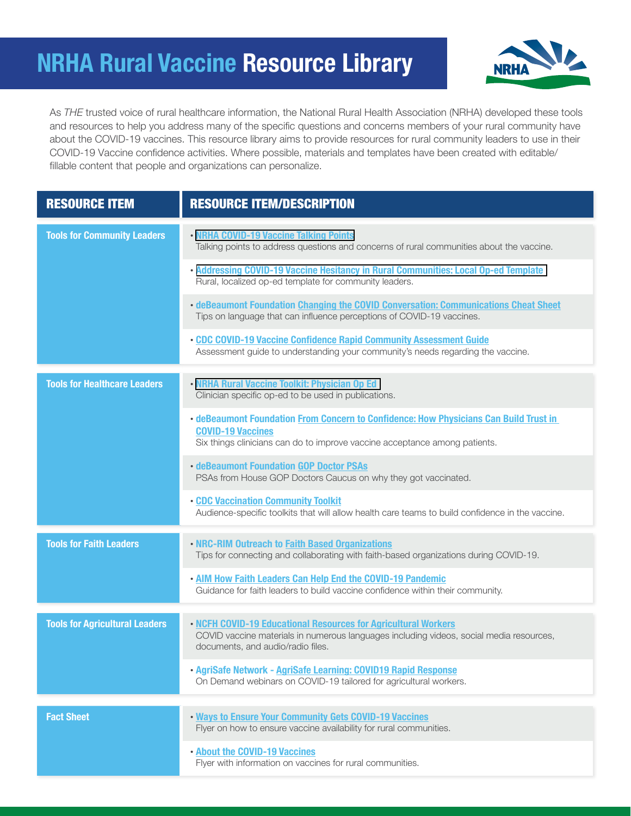## **NRHA Rural Vaccine Resource Library**



As *THE* trusted voice of rural healthcare information, the National Rural Health Association (NRHA) developed these tools and resources to help you address many of the specific questions and concerns members of your rural community have about the COVID-19 vaccines. This resource library aims to provide resources for rural community leaders to use in their COVID-19 Vaccine confidence activities. Where possible, materials and templates have been created with editable/ fillable content that people and organizations can personalize.

| <b>RESOURCE ITEM</b>                  | <b>RESOURCE ITEM/DESCRIPTION</b>                                                                                                                                                                |
|---------------------------------------|-------------------------------------------------------------------------------------------------------------------------------------------------------------------------------------------------|
| <b>Tools for Community Leaders</b>    | • NRHA COVID-19 Vaccine Talking Points<br>Talking points to address questions and concerns of rural communities about the vaccine.                                                              |
|                                       | • Addressing COVID-19 Vaccine Hesitancy in Rural Communities: Local Op-ed Template<br>Rural, localized op-ed template for community leaders.                                                    |
|                                       | • deBeaumont Foundation Changing the COVID Conversation: Communications Cheat Sheet<br>Tips on language that can influence perceptions of COVID-19 vaccines.                                    |
|                                       | . CDC COVID-19 Vaccine Confidence Rapid Community Assessment Guide<br>Assessment guide to understanding your community's needs regarding the vaccine.                                           |
| <b>Tools for Healthcare Leaders</b>   | . NRHA Rural Vaccine Toolkit: Physician Op Ed<br>Clinician specific op-ed to be used in publications.                                                                                           |
|                                       | . deBeaumont Foundation From Concern to Confidence: How Physicians Can Build Trust in<br><b>COVID-19 Vaccines</b><br>Six things clinicians can do to improve vaccine acceptance among patients. |
|                                       | <b>• deBeaumont Foundation GOP Doctor PSAs</b><br>PSAs from House GOP Doctors Caucus on why they got vaccinated.                                                                                |
|                                       | <b>. CDC Vaccination Community Toolkit</b><br>Audience-specific toolkits that will allow health care teams to build confidence in the vaccine.                                                  |
| <b>Tools for Faith Leaders</b>        | . NRC-RIM Outreach to Faith Based Organizations<br>Tips for connecting and collaborating with faith-based organizations during COVID-19.                                                        |
|                                       | . AIM How Faith Leaders Can Help End the COVID-19 Pandemic<br>Guidance for faith leaders to build vaccine confidence within their community.                                                    |
| <b>Tools for Agricultural Leaders</b> | . NCFH COVID-19 Educational Resources for Agricultural Workers<br>COVID vaccine materials in numerous languages including videos, social media resources,<br>documents, and audio/radio files.  |
|                                       | · AgriSafe Network - AgriSafe Learning: COVID19 Rapid Response<br>On Demand webinars on COVID-19 tailored for agricultural workers.                                                             |
|                                       |                                                                                                                                                                                                 |
| <b>Fact Sheet</b>                     | . Ways to Ensure Your Community Gets COVID-19 Vaccines<br>Flyer on how to ensure vaccine availability for rural communities.                                                                    |
|                                       | . About the COVID-19 Vaccines<br>Flyer with information on vaccines for rural communities.                                                                                                      |